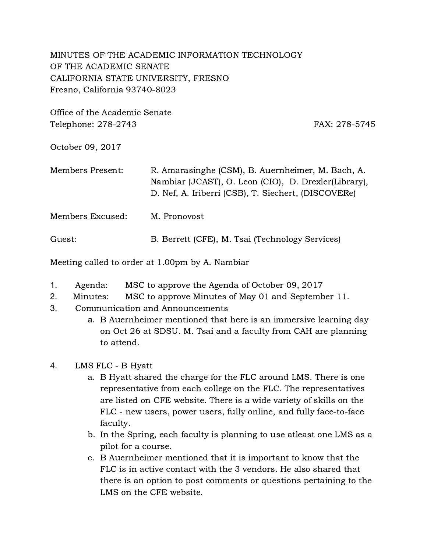## MINUTES OF THE ACADEMIC INFORMATION TECHNOLOGY OF THE ACADEMIC SENATE CALIFORNIA STATE UNIVERSITY, FRESNO Fresno, California 93740-8023

Office of the Academic Senate Telephone: 278-2743 FAX: 278-5745

October 09, 2017

| Members Present: | R. Amarasinghe (CSM), B. Auernheimer, M. Bach, A.<br>Nambiar (JCAST), O. Leon (CIO), D. Drexler(Library),<br>D. Nef, A. Iriberri (CSB), T. Siechert, (DISCOVERe) |
|------------------|------------------------------------------------------------------------------------------------------------------------------------------------------------------|
| Members Excused: | M. Pronovost                                                                                                                                                     |
| Guest:           | B. Berrett (CFE), M. Tsai (Technology Services)                                                                                                                  |

Meeting called to order at 1.00pm by A. Nambiar

- 1. Agenda: MSC to approve the Agenda of October 09, 2017
- 2. Minutes: MSC to approve Minutes of May 01 and September 11.
- 3. Communication and Announcements
	- a. B Auernheimer mentioned that here is an immersive learning day on Oct 26 at SDSU. M. Tsai and a faculty from CAH are planning to attend.

## 4. LMS FLC - B Hyatt

- a. B Hyatt shared the charge for the FLC around LMS. There is one representative from each college on the FLC. The representatives are listed on CFE website. There is a wide variety of skills on the FLC - new users, power users, fully online, and fully face-to-face faculty.
- b. In the Spring, each faculty is planning to use atleast one LMS as a pilot for a course.
- c. B Auernheimer mentioned that it is important to know that the FLC is in active contact with the 3 vendors. He also shared that there is an option to post comments or questions pertaining to the LMS on the CFE website.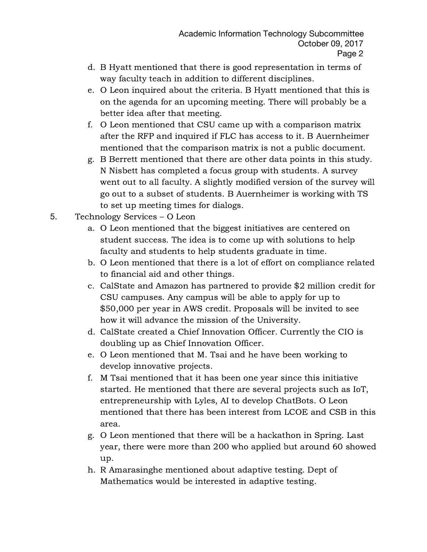- d. B Hyatt mentioned that there is good representation in terms of way faculty teach in addition to different disciplines.
- e. O Leon inquired about the criteria. B Hyatt mentioned that this is on the agenda for an upcoming meeting. There will probably be a better idea after that meeting.
- f. O Leon mentioned that CSU came up with a comparison matrix after the RFP and inquired if FLC has access to it. B Auernheimer mentioned that the comparison matrix is not a public document.
- g. B Berrett mentioned that there are other data points in this study. N Nisbett has completed a focus group with students. A survey went out to all faculty. A slightly modified version of the survey will go out to a subset of students. B Auernheimer is working with TS to set up meeting times for dialogs.
- 5. Technology Services O Leon
	- a. O Leon mentioned that the biggest initiatives are centered on student success. The idea is to come up with solutions to help faculty and students to help students graduate in time.
	- b. O Leon mentioned that there is a lot of effort on compliance related to financial aid and other things.
	- c. CalState and Amazon has partnered to provide \$2 million credit for CSU campuses. Any campus will be able to apply for up to \$50,000 per year in AWS credit. Proposals will be invited to see how it will advance the mission of the University.
	- d. CalState created a Chief Innovation Officer. Currently the CIO is doubling up as Chief Innovation Officer.
	- e. O Leon mentioned that M. Tsai and he have been working to develop innovative projects.
	- f. M Tsai mentioned that it has been one year since this initiative started. He mentioned that there are several projects such as IoT, entrepreneurship with Lyles, AI to develop ChatBots. O Leon mentioned that there has been interest from LCOE and CSB in this area.
	- g. O Leon mentioned that there will be a hackathon in Spring. Last year, there were more than 200 who applied but around 60 showed up.
	- h. R Amarasinghe mentioned about adaptive testing. Dept of Mathematics would be interested in adaptive testing.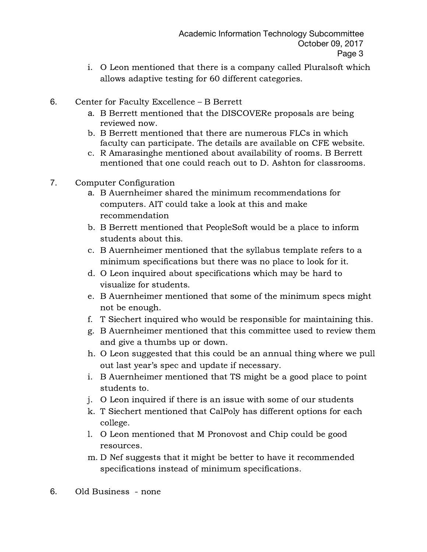- i. O Leon mentioned that there is a company called Pluralsoft which allows adaptive testing for 60 different categories.
- 6. Center for Faculty Excellence B Berrett
	- a. B Berrett mentioned that the DISCOVERe proposals are being reviewed now.
	- b. B Berrett mentioned that there are numerous FLCs in which faculty can participate. The details are available on CFE website.
	- c. R Amarasinghe mentioned about availability of rooms. B Berrett mentioned that one could reach out to D. Ashton for classrooms.
- 7. Computer Configuration
	- a. B Auernheimer shared the minimum recommendations for computers. AIT could take a look at this and make recommendation
	- b. B Berrett mentioned that PeopleSoft would be a place to inform students about this.
	- c. B Auernheimer mentioned that the syllabus template refers to a minimum specifications but there was no place to look for it.
	- d. O Leon inquired about specifications which may be hard to visualize for students.
	- e. B Auernheimer mentioned that some of the minimum specs might not be enough.
	- f. T Siechert inquired who would be responsible for maintaining this.
	- g. B Auernheimer mentioned that this committee used to review them and give a thumbs up or down.
	- h. O Leon suggested that this could be an annual thing where we pull out last year's spec and update if necessary.
	- i. B Auernheimer mentioned that TS might be a good place to point students to.
	- j. O Leon inquired if there is an issue with some of our students
	- k. T Siechert mentioned that CalPoly has different options for each college.
	- l. O Leon mentioned that M Pronovost and Chip could be good resources.
	- m. D Nef suggests that it might be better to have it recommended specifications instead of minimum specifications.
- 6. Old Business none